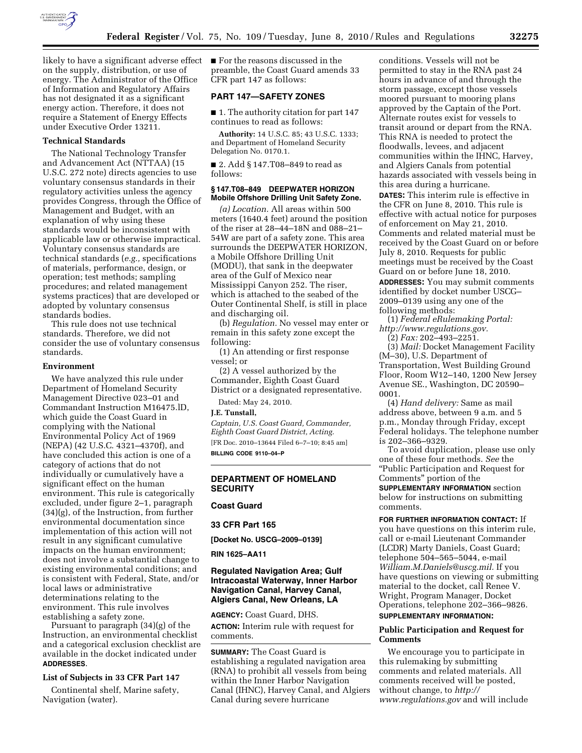

likely to have a significant adverse effect on the supply, distribution, or use of energy. The Administrator of the Office of Information and Regulatory Affairs has not designated it as a significant energy action. Therefore, it does not require a Statement of Energy Effects under Executive Order 13211.

## **Technical Standards**

The National Technology Transfer and Advancement Act (NTTAA) (15 U.S.C. 272 note) directs agencies to use voluntary consensus standards in their regulatory activities unless the agency provides Congress, through the Office of Management and Budget, with an explanation of why using these standards would be inconsistent with applicable law or otherwise impractical. Voluntary consensus standards are technical standards (*e.g.,* specifications of materials, performance, design, or operation; test methods; sampling procedures; and related management systems practices) that are developed or adopted by voluntary consensus standards bodies.

This rule does not use technical standards. Therefore, we did not consider the use of voluntary consensus standards.

#### **Environment**

We have analyzed this rule under Department of Homeland Security Management Directive 023–01 and Commandant Instruction M16475.lD, which guide the Coast Guard in complying with the National Environmental Policy Act of 1969 (NEPA) (42 U.S.C. 4321–4370f), and have concluded this action is one of a category of actions that do not individually or cumulatively have a significant effect on the human environment. This rule is categorically excluded, under figure 2–1, paragraph (34)(g), of the Instruction, from further environmental documentation since implementation of this action will not result in any significant cumulative impacts on the human environment; does not involve a substantial change to existing environmental conditions; and is consistent with Federal, State, and/or local laws or administrative determinations relating to the environment. This rule involves establishing a safety zone.

Pursuant to paragraph (34)(g) of the Instruction, an environmental checklist and a categorical exclusion checklist are available in the docket indicated under **ADDRESSES**.

#### **List of Subjects in 33 CFR Part 147**

Continental shelf, Marine safety, Navigation (water).

■ For the reasons discussed in the preamble, the Coast Guard amends 33 CFR part 147 as follows:

## **PART 147—SAFETY ZONES**

■ 1. The authority citation for part 147 continues to read as follows:

**Authority:** 14 U.S.C. 85; 43 U.S.C. 1333; and Department of Homeland Security Delegation No. 0170.1.

■ 2. Add § 147.T08–849 to read as follows:

## **§ 147.T08–849 DEEPWATER HORIZON Mobile Offshore Drilling Unit Safety Zone.**

*(a) Location.* All areas within 500 meters (1640.4 feet) around the position of the riser at 28–44–18N and 088–21– 54W are part of a safety zone. This area surrounds the DEEPWATER HORIZON, a Mobile Offshore Drilling Unit (MODU), that sank in the deepwater area of the Gulf of Mexico near Mississippi Canyon 252. The riser, which is attached to the seabed of the Outer Continental Shelf, is still in place and discharging oil.

(b) *Regulation.* No vessel may enter or remain in this safety zone except the following:

(1) An attending or first response vessel; or

(2) A vessel authorized by the Commander, Eighth Coast Guard District or a designated representative.

Dated: May 24, 2010.

### **J.E. Tunstall,**

*Captain, U.S. Coast Guard, Commander, Eighth Coast Guard District, Acting.*  [FR Doc. 2010–13644 Filed 6–7–10; 8:45 am] **BILLING CODE 9110–04–P** 

## **DEPARTMENT OF HOMELAND SECURITY**

## **Coast Guard**

**33 CFR Part 165** 

**[Docket No. USCG–2009–0139]** 

**RIN 1625–AA11** 

## **Regulated Navigation Area; Gulf Intracoastal Waterway, Inner Harbor Navigation Canal, Harvey Canal, Algiers Canal, New Orleans, LA**

**AGENCY:** Coast Guard, DHS.

**ACTION:** Interim rule with request for comments.

**SUMMARY:** The Coast Guard is establishing a regulated navigation area (RNA) to prohibit all vessels from being within the Inner Harbor Navigation Canal (IHNC), Harvey Canal, and Algiers Canal during severe hurricane

conditions. Vessels will not be permitted to stay in the RNA past 24 hours in advance of and through the storm passage, except those vessels moored pursuant to mooring plans approved by the Captain of the Port. Alternate routes exist for vessels to transit around or depart from the RNA. This RNA is needed to protect the floodwalls, levees, and adjacent communities within the IHNC, Harvey, and Algiers Canals from potential hazards associated with vessels being in this area during a hurricane.

**DATES:** This interim rule is effective in the CFR on June 8, 2010. This rule is effective with actual notice for purposes of enforcement on May 21, 2010. Comments and related material must be received by the Coast Guard on or before July 8, 2010. Requests for public meetings must be received by the Coast Guard on or before June 18, 2010.

**ADDRESSES:** You may submit comments identified by docket number USCG– 2009–0139 using any one of the following methods:

(1) *Federal eRulemaking Portal: http://www.regulations.gov.* 

(2) *Fax:* 202–493–2251.

(3) *Mail:* Docket Management Facility (M–30), U.S. Department of Transportation, West Building Ground Floor, Room W12–140, 1200 New Jersey Avenue SE., Washington, DC 20590– 0001.

(4) *Hand delivery:* Same as mail address above, between 9 a.m. and 5 p.m., Monday through Friday, except Federal holidays. The telephone number is 202–366–9329.

To avoid duplication, please use only one of these four methods. *See* the ''Public Participation and Request for Comments'' portion of the **SUPPLEMENTARY INFORMATION** section below for instructions on submitting comments.

**FOR FURTHER INFORMATION CONTACT:** If you have questions on this interim rule, call or e-mail Lieutenant Commander (LCDR) Marty Daniels, Coast Guard; telephone 504–565–5044, e-mail *William.M.Daniels@uscg.mil.* If you have questions on viewing or submitting material to the docket, call Renee V. Wright, Program Manager, Docket Operations, telephone 202–366–9826. **SUPPLEMENTARY INFORMATION:** 

### **Public Participation and Request for Comments**

We encourage you to participate in this rulemaking by submitting comments and related materials. All comments received will be posted, without change, to *http:// www.regulations.gov* and will include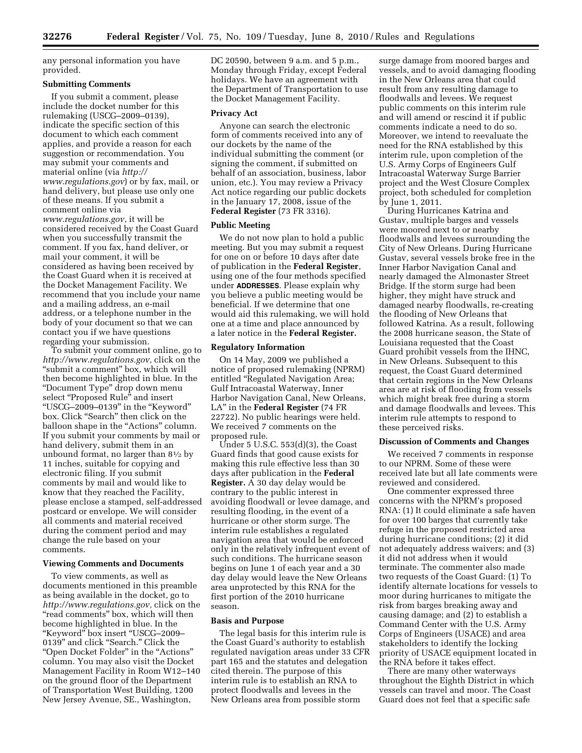any personal information you have provided.

## **Submitting Comments**

If you submit a comment, please include the docket number for this rulemaking (USCG–2009–0139), indicate the specific section of this document to which each comment applies, and provide a reason for each suggestion or recommendation. You may submit your comments and material online (via *http:// www.regulations.gov*) or by fax, mail, or hand delivery, but please use only one of these means. If you submit a comment online via *www.regulations.gov*, it will be considered received by the Coast Guard when you successfully transmit the comment. If you fax, hand deliver, or mail your comment, it will be considered as having been received by the Coast Guard when it is received at the Docket Management Facility. We recommend that you include your name and a mailing address, an e-mail address, or a telephone number in the body of your document so that we can contact you if we have questions regarding your submission.

To submit your comment online, go to *http://www.regulations.gov,* click on the ''submit a comment'' box, which will then become highlighted in blue. In the ''Document Type'' drop down menu select "Proposed Rule" and insert ''USCG–2009–0139'' in the ''Keyword'' box. Click ''Search'' then click on the balloon shape in the "Actions" column. If you submit your comments by mail or hand delivery, submit them in an unbound format, no larger than 81⁄2 by 11 inches, suitable for copying and electronic filing. If you submit comments by mail and would like to know that they reached the Facility, please enclose a stamped, self-addressed postcard or envelope. We will consider all comments and material received during the comment period and may change the rule based on your comments.

#### **Viewing Comments and Documents**

To view comments, as well as documents mentioned in this preamble as being available in the docket, go to *http://www.regulations.gov,* click on the ''read comments'' box, which will then become highlighted in blue. In the ''Keyword'' box insert ''USCG–2009– 0139'' and click ''Search.'' Click the ''Open Docket Folder'' in the ''Actions'' column. You may also visit the Docket Management Facility in Room W12–140 on the ground floor of the Department of Transportation West Building, 1200 New Jersey Avenue, SE., Washington,

DC 20590, between 9 a.m. and 5 p.m., Monday through Friday, except Federal holidays. We have an agreement with the Department of Transportation to use the Docket Management Facility.

## **Privacy Act**

Anyone can search the electronic form of comments received into any of our dockets by the name of the individual submitting the comment (or signing the comment, if submitted on behalf of an association, business, labor union, etc.). You may review a Privacy Act notice regarding our public dockets in the January 17, 2008, issue of the **Federal Register** (73 FR 3316).

### **Public Meeting**

We do not now plan to hold a public meeting. But you may submit a request for one on or before 10 days after date of publication in the **Federal Register**, using one of the four methods specified under **ADDRESSES**. Please explain why you believe a public meeting would be beneficial. If we determine that one would aid this rulemaking, we will hold one at a time and place announced by a later notice in the **Federal Register.** 

## **Regulatory Information**

On 14 May, 2009 we published a notice of proposed rulemaking (NPRM) entitled ''Regulated Navigation Area; Gulf Intracoastal Waterway, Inner Harbor Navigation Canal, New Orleans, LA'' in the **Federal Register** (74 FR 22722). No public hearings were held. We received 7 comments on the proposed rule.

Under 5 U.S.C. 553(d)(3), the Coast Guard finds that good cause exists for making this rule effective less than 30 days after publication in the **Federal Register.** A 30 day delay would be contrary to the public interest in avoiding floodwall or levee damage, and resulting flooding, in the event of a hurricane or other storm surge. The interim rule establishes a regulated navigation area that would be enforced only in the relatively infrequent event of such conditions. The hurricane season begins on June 1 of each year and a 30 day delay would leave the New Orleans area unprotected by this RNA for the first portion of the 2010 hurricane season.

# **Basis and Purpose**

The legal basis for this interim rule is the Coast Guard's authority to establish regulated navigation areas under 33 CFR part 165 and the statutes and delegation cited therein. The purpose of this interim rule is to establish an RNA to protect floodwalls and levees in the New Orleans area from possible storm

surge damage from moored barges and vessels, and to avoid damaging flooding in the New Orleans area that could result from any resulting damage to floodwalls and levees. We request public comments on this interim rule and will amend or rescind it if public comments indicate a need to do so. Moreover, we intend to reevaluate the need for the RNA established by this interim rule, upon completion of the U.S. Army Corps of Engineers Gulf Intracoastal Waterway Surge Barrier project and the West Closure Complex project, both scheduled for completion by June 1, 2011.

During Hurricanes Katrina and Gustav, multiple barges and vessels were moored next to or nearby floodwalls and levees surrounding the City of New Orleans. During Hurricane Gustav, several vessels broke free in the Inner Harbor Navigation Canal and nearly damaged the Almonaster Street Bridge. If the storm surge had been higher, they might have struck and damaged nearby floodwalls, re-creating the flooding of New Orleans that followed Katrina. As a result, following the 2008 hurricane season, the State of Louisiana requested that the Coast Guard prohibit vessels from the IHNC, in New Orleans. Subsequent to this request, the Coast Guard determined that certain regions in the New Orleans area are at risk of flooding from vessels which might break free during a storm and damage floodwalls and levees. This interim rule attempts to respond to these perceived risks.

#### **Discussion of Comments and Changes**

We received 7 comments in response to our NPRM. Some of these were received late but all late comments were reviewed and considered.

One commenter expressed three concerns with the NPRM's proposed RNA: (1) It could eliminate a safe haven for over 100 barges that currently take refuge in the proposed restricted area during hurricane conditions; (2) it did not adequately address waivers; and (3) it did not address when it would terminate. The commenter also made two requests of the Coast Guard: (1) To identify alternate locations for vessels to moor during hurricanes to mitigate the risk from barges breaking away and causing damage; and (2) to establish a Command Center with the U.S. Army Corps of Engineers (USACE) and area stakeholders to identify the locking priority of USACE equipment located in the RNA before it takes effect.

There are many other waterways throughout the Eighth District in which vessels can travel and moor. The Coast Guard does not feel that a specific safe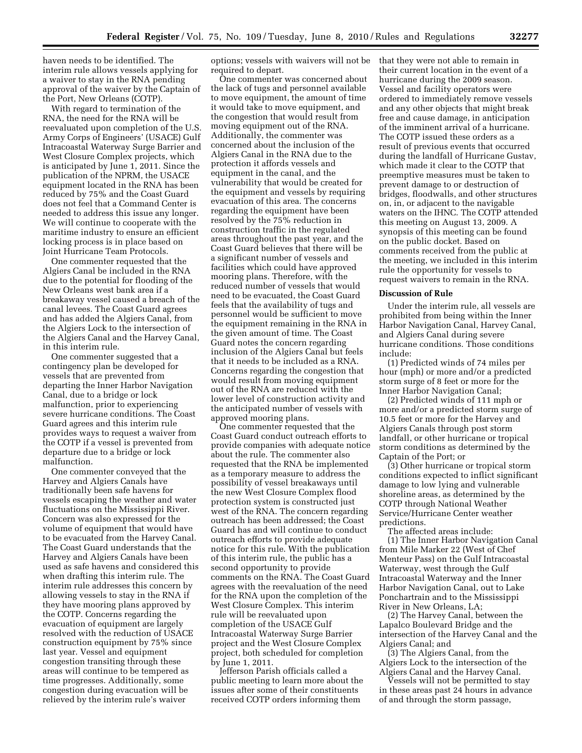haven needs to be identified. The interim rule allows vessels applying for a waiver to stay in the RNA pending approval of the waiver by the Captain of the Port, New Orleans (COTP).

With regard to termination of the RNA, the need for the RNA will be reevaluated upon completion of the U.S. Army Corps of Engineers' (USACE) Gulf Intracoastal Waterway Surge Barrier and West Closure Complex projects, which is anticipated by June 1, 2011. Since the publication of the NPRM, the USACE equipment located in the RNA has been reduced by 75% and the Coast Guard does not feel that a Command Center is needed to address this issue any longer. We will continue to cooperate with the maritime industry to ensure an efficient locking process is in place based on Joint Hurricane Team Protocols.

One commenter requested that the Algiers Canal be included in the RNA due to the potential for flooding of the New Orleans west bank area if a breakaway vessel caused a breach of the canal levees. The Coast Guard agrees and has added the Algiers Canal, from the Algiers Lock to the intersection of the Algiers Canal and the Harvey Canal, in this interim rule.

One commenter suggested that a contingency plan be developed for vessels that are prevented from departing the Inner Harbor Navigation Canal, due to a bridge or lock malfunction, prior to experiencing severe hurricane conditions. The Coast Guard agrees and this interim rule provides ways to request a waiver from the COTP if a vessel is prevented from departure due to a bridge or lock malfunction.

One commenter conveyed that the Harvey and Algiers Canals have traditionally been safe havens for vessels escaping the weather and water fluctuations on the Mississippi River. Concern was also expressed for the volume of equipment that would have to be evacuated from the Harvey Canal. The Coast Guard understands that the Harvey and Algiers Canals have been used as safe havens and considered this when drafting this interim rule. The interim rule addresses this concern by allowing vessels to stay in the RNA if they have mooring plans approved by the COTP. Concerns regarding the evacuation of equipment are largely resolved with the reduction of USACE construction equipment by 75% since last year. Vessel and equipment congestion transiting through these areas will continue to be tempered as time progresses. Additionally, some congestion during evacuation will be relieved by the interim rule's waiver

options; vessels with waivers will not be required to depart.

One commenter was concerned about the lack of tugs and personnel available to move equipment, the amount of time it would take to move equipment, and the congestion that would result from moving equipment out of the RNA. Additionally, the commenter was concerned about the inclusion of the Algiers Canal in the RNA due to the protection it affords vessels and equipment in the canal, and the vulnerability that would be created for the equipment and vessels by requiring evacuation of this area. The concerns regarding the equipment have been resolved by the 75% reduction in construction traffic in the regulated areas throughout the past year, and the Coast Guard believes that there will be a significant number of vessels and facilities which could have approved mooring plans. Therefore, with the reduced number of vessels that would need to be evacuated, the Coast Guard feels that the availability of tugs and personnel would be sufficient to move the equipment remaining in the RNA in the given amount of time. The Coast Guard notes the concern regarding inclusion of the Algiers Canal but feels that it needs to be included as a RNA. Concerns regarding the congestion that would result from moving equipment out of the RNA are reduced with the lower level of construction activity and the anticipated number of vessels with approved mooring plans.

One commenter requested that the Coast Guard conduct outreach efforts to provide companies with adequate notice about the rule. The commenter also requested that the RNA be implemented as a temporary measure to address the possibility of vessel breakaways until the new West Closure Complex flood protection system is constructed just west of the RNA. The concern regarding outreach has been addressed; the Coast Guard has and will continue to conduct outreach efforts to provide adequate notice for this rule. With the publication of this interim rule, the public has a second opportunity to provide comments on the RNA. The Coast Guard agrees with the reevaluation of the need for the RNA upon the completion of the West Closure Complex. This interim rule will be reevaluated upon completion of the USACE Gulf Intracoastal Waterway Surge Barrier project and the West Closure Complex project, both scheduled for completion by June 1, 2011.

Jefferson Parish officials called a public meeting to learn more about the issues after some of their constituents received COTP orders informing them

that they were not able to remain in their current location in the event of a hurricane during the 2009 season. Vessel and facility operators were ordered to immediately remove vessels and any other objects that might break free and cause damage, in anticipation of the imminent arrival of a hurricane. The COTP issued these orders as a result of previous events that occurred during the landfall of Hurricane Gustav, which made it clear to the COTP that preemptive measures must be taken to prevent damage to or destruction of bridges, floodwalls, and other structures on, in, or adjacent to the navigable waters on the IHNC. The COTP attended this meeting on August 13, 2009. A synopsis of this meeting can be found on the public docket. Based on comments received from the public at the meeting, we included in this interim rule the opportunity for vessels to request waivers to remain in the RNA.

#### **Discussion of Rule**

Under the interim rule, all vessels are prohibited from being within the Inner Harbor Navigation Canal, Harvey Canal, and Algiers Canal during severe hurricane conditions. Those conditions include:

(1) Predicted winds of 74 miles per hour (mph) or more and/or a predicted storm surge of 8 feet or more for the Inner Harbor Navigation Canal;

(2) Predicted winds of 111 mph or more and/or a predicted storm surge of 10.5 feet or more for the Harvey and Algiers Canals through post storm landfall, or other hurricane or tropical storm conditions as determined by the Captain of the Port; or

(3) Other hurricane or tropical storm conditions expected to inflict significant damage to low lying and vulnerable shoreline areas, as determined by the COTP through National Weather Service/Hurricane Center weather predictions.

The affected areas include:

(1) The Inner Harbor Navigation Canal from Mile Marker 22 (West of Chef Menteur Pass) on the Gulf Intracoastal Waterway, west through the Gulf Intracoastal Waterway and the Inner Harbor Navigation Canal, out to Lake Ponchartrain and to the Mississippi River in New Orleans, LA;

(2) The Harvey Canal, between the Lapalco Boulevard Bridge and the intersection of the Harvey Canal and the Algiers Canal; and

(3) The Algiers Canal, from the Algiers Lock to the intersection of the Algiers Canal and the Harvey Canal.

Vessels will not be permitted to stay in these areas past 24 hours in advance of and through the storm passage,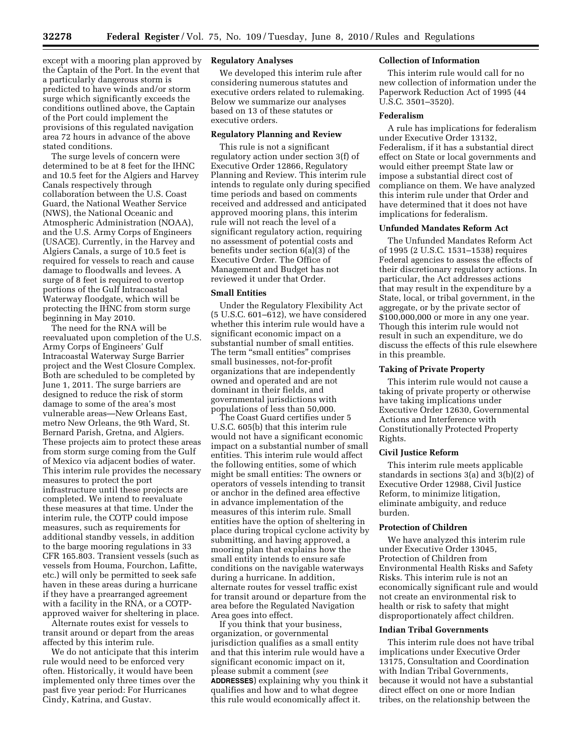except with a mooring plan approved by the Captain of the Port. In the event that a particularly dangerous storm is predicted to have winds and/or storm surge which significantly exceeds the conditions outlined above, the Captain of the Port could implement the provisions of this regulated navigation area 72 hours in advance of the above stated conditions.

The surge levels of concern were determined to be at 8 feet for the IHNC and 10.5 feet for the Algiers and Harvey Canals respectively through collaboration between the U.S. Coast Guard, the National Weather Service (NWS), the National Oceanic and Atmospheric Administration (NOAA), and the U.S. Army Corps of Engineers (USACE). Currently, in the Harvey and Algiers Canals, a surge of 10.5 feet is required for vessels to reach and cause damage to floodwalls and levees. A surge of 8 feet is required to overtop portions of the Gulf Intracoastal Waterway floodgate, which will be protecting the IHNC from storm surge beginning in May 2010.

The need for the RNA will be reevaluated upon completion of the U.S. Army Corps of Engineers' Gulf Intracoastal Waterway Surge Barrier project and the West Closure Complex. Both are scheduled to be completed by June 1, 2011. The surge barriers are designed to reduce the risk of storm damage to some of the area's most vulnerable areas—New Orleans East, metro New Orleans, the 9th Ward, St. Bernard Parish, Gretna, and Algiers. These projects aim to protect these areas from storm surge coming from the Gulf of Mexico via adjacent bodies of water. This interim rule provides the necessary measures to protect the port infrastructure until these projects are completed. We intend to reevaluate these measures at that time. Under the interim rule, the COTP could impose measures, such as requirements for additional standby vessels, in addition to the barge mooring regulations in 33 CFR 165.803. Transient vessels (such as vessels from Houma, Fourchon, Lafitte, etc.) will only be permitted to seek safe haven in these areas during a hurricane if they have a prearranged agreement with a facility in the RNA, or a COTPapproved waiver for sheltering in place.

Alternate routes exist for vessels to transit around or depart from the areas affected by this interim rule.

We do not anticipate that this interim rule would need to be enforced very often. Historically, it would have been implemented only three times over the past five year period: For Hurricanes Cindy, Katrina, and Gustav.

## **Regulatory Analyses**

We developed this interim rule after considering numerous statutes and executive orders related to rulemaking. Below we summarize our analyses based on 13 of these statutes or executive orders.

## **Regulatory Planning and Review**

This rule is not a significant regulatory action under section 3(f) of Executive Order 12866, Regulatory Planning and Review. This interim rule intends to regulate only during specified time periods and based on comments received and addressed and anticipated approved mooring plans, this interim rule will not reach the level of a significant regulatory action, requiring no assessment of potential costs and benefits under section 6(a)(3) of the Executive Order. The Office of Management and Budget has not reviewed it under that Order.

## **Small Entities**

Under the Regulatory Flexibility Act (5 U.S.C. 601–612), we have considered whether this interim rule would have a significant economic impact on a substantial number of small entities. The term "small entities" comprises small businesses, not-for-profit organizations that are independently owned and operated and are not dominant in their fields, and governmental jurisdictions with populations of less than 50,000.

The Coast Guard certifies under 5 U.S.C. 605(b) that this interim rule would not have a significant economic impact on a substantial number of small entities. This interim rule would affect the following entities, some of which might be small entities: The owners or operators of vessels intending to transit or anchor in the defined area effective in advance implementation of the measures of this interim rule. Small entities have the option of sheltering in place during tropical cyclone activity by submitting, and having approved, a mooring plan that explains how the small entity intends to ensure safe conditions on the navigable waterways during a hurricane. In addition, alternate routes for vessel traffic exist for transit around or departure from the area before the Regulated Navigation Area goes into effect.

If you think that your business, organization, or governmental jurisdiction qualifies as a small entity and that this interim rule would have a significant economic impact on it, please submit a comment (*see*  **ADDRESSES**) explaining why you think it qualifies and how and to what degree this rule would economically affect it.

## **Collection of Information**

This interim rule would call for no new collection of information under the Paperwork Reduction Act of 1995 (44 U.S.C. 3501–3520).

#### **Federalism**

A rule has implications for federalism under Executive Order 13132, Federalism, if it has a substantial direct effect on State or local governments and would either preempt State law or impose a substantial direct cost of compliance on them. We have analyzed this interim rule under that Order and have determined that it does not have implications for federalism.

### **Unfunded Mandates Reform Act**

The Unfunded Mandates Reform Act of 1995 (2 U.S.C. 1531–1538) requires Federal agencies to assess the effects of their discretionary regulatory actions. In particular, the Act addresses actions that may result in the expenditure by a State, local, or tribal government, in the aggregate, or by the private sector of \$100,000,000 or more in any one year. Though this interim rule would not result in such an expenditure, we do discuss the effects of this rule elsewhere in this preamble.

### **Taking of Private Property**

This interim rule would not cause a taking of private property or otherwise have taking implications under Executive Order 12630, Governmental Actions and Interference with Constitutionally Protected Property Rights.

### **Civil Justice Reform**

This interim rule meets applicable standards in sections 3(a) and 3(b)(2) of Executive Order 12988, Civil Justice Reform, to minimize litigation, eliminate ambiguity, and reduce burden.

## **Protection of Children**

We have analyzed this interim rule under Executive Order 13045, Protection of Children from Environmental Health Risks and Safety Risks. This interim rule is not an economically significant rule and would not create an environmental risk to health or risk to safety that might disproportionately affect children.

### **Indian Tribal Governments**

This interim rule does not have tribal implications under Executive Order 13175, Consultation and Coordination with Indian Tribal Governments, because it would not have a substantial direct effect on one or more Indian tribes, on the relationship between the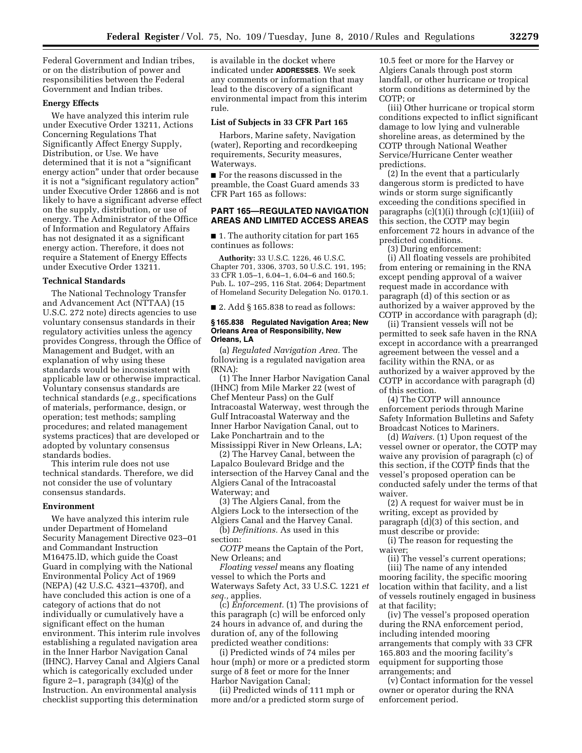Federal Government and Indian tribes, or on the distribution of power and responsibilities between the Federal Government and Indian tribes.

## **Energy Effects**

We have analyzed this interim rule under Executive Order 13211, Actions Concerning Regulations That Significantly Affect Energy Supply, Distribution, or Use. We have determined that it is not a "significant energy action'' under that order because it is not a ''significant regulatory action'' under Executive Order 12866 and is not likely to have a significant adverse effect on the supply, distribution, or use of energy. The Administrator of the Office of Information and Regulatory Affairs has not designated it as a significant energy action. Therefore, it does not require a Statement of Energy Effects under Executive Order 13211.

#### **Technical Standards**

The National Technology Transfer and Advancement Act (NTTAA) (15 U.S.C. 272 note) directs agencies to use voluntary consensus standards in their regulatory activities unless the agency provides Congress, through the Office of Management and Budget, with an explanation of why using these standards would be inconsistent with applicable law or otherwise impractical. Voluntary consensus standards are technical standards (*e.g.,* specifications of materials, performance, design, or operation; test methods; sampling procedures; and related management systems practices) that are developed or adopted by voluntary consensus standards bodies.

This interim rule does not use technical standards. Therefore, we did not consider the use of voluntary consensus standards.

#### **Environment**

We have analyzed this interim rule under Department of Homeland Security Management Directive 023–01 and Commandant Instruction M16475.lD, which guide the Coast Guard in complying with the National Environmental Policy Act of 1969 (NEPA) (42 U.S.C. 4321–4370f), and have concluded this action is one of a category of actions that do not individually or cumulatively have a significant effect on the human environment. This interim rule involves establishing a regulated navigation area in the Inner Harbor Navigation Canal (IHNC), Harvey Canal and Algiers Canal which is categorically excluded under figure 2–1, paragraph (34)(g) of the Instruction. An environmental analysis checklist supporting this determination

is available in the docket where indicated under **ADDRESSES**. We seek any comments or information that may lead to the discovery of a significant environmental impact from this interim rule.

#### **List of Subjects in 33 CFR Part 165**

Harbors, Marine safety, Navigation (water), Reporting and recordkeeping requirements, Security measures, Waterways.

■ For the reasons discussed in the preamble, the Coast Guard amends 33 CFR Part 165 as follows:

## **PART 165—REGULATED NAVIGATION AREAS AND LIMITED ACCESS AREAS**

■ 1. The authority citation for part 165 continues as follows:

**Authority:** 33 U.S.C. 1226, 46 U.S.C. Chapter 701, 3306, 3703, 50 U.S.C. 191, 195; 33 CFR 1.05–1, 6.04–1, 6.04–6 and 160.5; Pub. L. 107–295, 116 Stat. 2064; Department of Homeland Security Delegation No. 0170.1.

 $\blacksquare$  2. Add § 165.838 to read as follows:

### **§ 165.838 Regulated Navigation Area; New Orleans Area of Responsibility, New Orleans, LA**

(a) *Regulated Navigation Area.* The following is a regulated navigation area (RNA):

(1) The Inner Harbor Navigation Canal (IHNC) from Mile Marker 22 (west of Chef Menteur Pass) on the Gulf Intracoastal Waterway, west through the Gulf Intracoastal Waterway and the Inner Harbor Navigation Canal, out to Lake Ponchartrain and to the Mississippi River in New Orleans, LA;

(2) The Harvey Canal, between the Lapalco Boulevard Bridge and the intersection of the Harvey Canal and the Algiers Canal of the Intracoastal Waterway; and

(3) The Algiers Canal, from the Algiers Lock to the intersection of the Algiers Canal and the Harvey Canal.

(b) *Definitions.* As used in this section:

*COTP* means the Captain of the Port, New Orleans; and

*Floating vessel* means any floating vessel to which the Ports and Waterways Safety Act, 33 U.S.C. 1221 *et seq.,* applies.

(c) *Enforcement.* (1) The provisions of this paragraph (c) will be enforced only 24 hours in advance of, and during the duration of, any of the following predicted weather conditions:

(i) Predicted winds of 74 miles per hour (mph) or more or a predicted storm surge of 8 feet or more for the Inner Harbor Navigation Canal;

(ii) Predicted winds of 111 mph or more and/or a predicted storm surge of

10.5 feet or more for the Harvey or Algiers Canals through post storm landfall, or other hurricane or tropical storm conditions as determined by the COTP; or

(iii) Other hurricane or tropical storm conditions expected to inflict significant damage to low lying and vulnerable shoreline areas, as determined by the COTP through National Weather Service/Hurricane Center weather predictions.

(2) In the event that a particularly dangerous storm is predicted to have winds or storm surge significantly exceeding the conditions specified in paragraphs  $(c)(1)(i)$  through  $(c)(1)(iii)$  of this section, the COTP may begin enforcement 72 hours in advance of the predicted conditions.

(3) During enforcement:

(i) All floating vessels are prohibited from entering or remaining in the RNA except pending approval of a waiver request made in accordance with paragraph (d) of this section or as authorized by a waiver approved by the COTP in accordance with paragraph (d);

(ii) Transient vessels will not be permitted to seek safe haven in the RNA except in accordance with a prearranged agreement between the vessel and a facility within the RNA, or as authorized by a waiver approved by the COTP in accordance with paragraph (d) of this section.

(4) The COTP will announce enforcement periods through Marine Safety Information Bulletins and Safety Broadcast Notices to Mariners.

(d) *Waivers.* (1) Upon request of the vessel owner or operator, the COTP may waive any provision of paragraph (c) of this section, if the COTP finds that the vessel's proposed operation can be conducted safely under the terms of that waiver.

(2) A request for waiver must be in writing, except as provided by paragraph (d)(3) of this section, and must describe or provide:

(i) The reason for requesting the waiver;

(ii) The vessel's current operations; (iii) The name of any intended mooring facility, the specific mooring location within that facility, and a list of vessels routinely engaged in business

at that facility; (iv) The vessel's proposed operation during the RNA enforcement period, including intended mooring arrangements that comply with 33 CFR 165.803 and the mooring facility's equipment for supporting those arrangements; and

(v) Contact information for the vessel owner or operator during the RNA enforcement period.